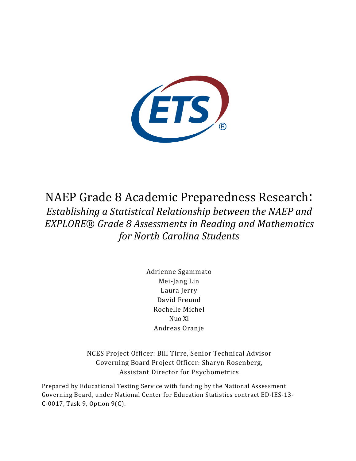

NAEP Grade 8 Academic Preparedness Research: *Establishing a Statistical Relationship between the NAEP and EXPLORE*® *Grade 8 Assessments in Reading and Mathematics for North Carolina Students*

> Adrienne Sgammato Mei-Jang Lin Laura Jerry David Freund Rochelle Michel Nuo Xi Andreas Oranje

NCES Project Officer: Bill Tirre, Senior Technical Advisor Governing Board Project Officer: Sharyn Rosenberg, Assistant Director for Psychometrics

Prepared by Educational Testing Service with funding by the National Assessment Governing Board, under National Center for Education Statistics contract ED-IES-13- C-0017, Task 9, Option 9(C).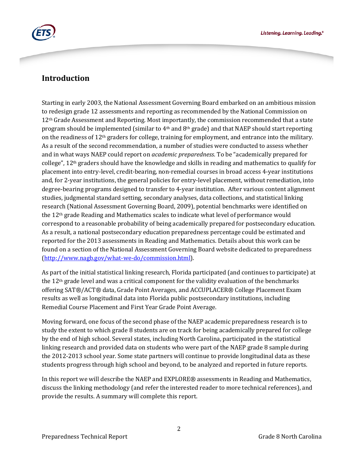

## **Introduction**

Starting in early 2003, the National Assessment Governing Board embarked on an ambitious mission to redesign grade 12 assessments and reporting as recommended by the National Commission on 12<sup>th</sup> Grade Assessment and Reporting. Most importantly, the commission recommended that a state program should be implemented (similar to  $4<sup>th</sup>$  and  $8<sup>th</sup>$  grade) and that NAEP should start reporting on the readiness of 12th graders for college, training for employment, and entrance into the military. As a result of the second recommendation, a number of studies were conducted to assess whether and in what ways NAEP could report on *academic preparedness*. To be "academically prepared for college", 12th graders should have the knowledge and skills in reading and mathematics to qualify for placement into entry-level, credit-bearing, non-remedial courses in broad access 4-year institutions and, for 2-year institutions, the general policies for entry-level placement, without remediation, into degree-bearing programs designed to transfer to 4-year institution. After various content alignment studies, judgmental standard setting, secondary analyses, data collections, and statistical linking research (National Assessment Governing Board, 2009), potential benchmarks were identified on the 12th grade Reading and Mathematics scales to indicate what level of performance would correspond to a reasonable probability of being academically prepared for postsecondary education. As a result, a national postsecondary education preparedness percentage could be estimated and reported for the 2013 assessments in Reading and Mathematics. Details about this work can be found on a section of the National Assessment Governing Board website dedicated to preparedness [\(http://www.nagb.gov/what-we-do/commission.html\)](http://www.nagb.gov/what-we-do/commission.html).

As part of the initial statistical linking research, Florida participated (and continues to participate) at the  $12<sup>th</sup>$  grade level and was a critical component for the validity evaluation of the benchmarks offering SAT®/ACT® data, Grade Point Averages, and ACCUPLACER® College Placement Exam results as well as longitudinal data into Florida public postsecondary institutions, including Remedial Course Placement and First Year Grade Point Average.

Moving forward, one focus of the second phase of the NAEP academic preparedness research is to study the extent to which grade 8 students are on track for being academically prepared for college by the end of high school. Several states, including North Carolina, participated in the statistical linking research and provided data on students who were part of the NAEP grade 8 sample during the 2012-2013 school year. Some state partners will continue to provide longitudinal data as these students progress through high school and beyond, to be analyzed and reported in future reports.

In this report we will describe the NAEP and EXPLORE® assessments in Reading and Mathematics, discuss the linking methodology (and refer the interested reader to more technical references), and provide the results. A summary will complete this report.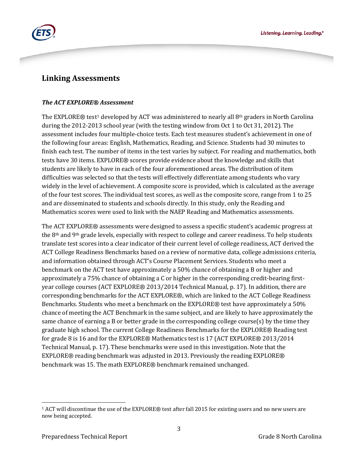

## **Linking Assessments**

#### *The ACT EXPLORE® Assessment*

The EXPLORE® test<sup>[1](#page-2-0)</sup> developed by ACT was administered to nearly all 8<sup>th</sup> graders in North Carolina during the 2012-2013 school year (with the testing window from Oct 1 to Oct 31, 2012). The assessment includes four multiple-choice tests. Each test measures student's achievement in one of the following four areas: English, Mathematics, Reading, and Science. Students had 30 minutes to finish each test. The number of items in the test varies by subject. For reading and mathematics, both tests have 30 items. EXPLORE® scores provide evidence about the knowledge and skills that students are likely to have in each of the four aforementioned areas. The distribution of item difficulties was selected so that the tests will effectively differentiate among students who vary widely in the level of achievement. A composite score is provided, which is calculated as the average of the four test scores. The individual test scores, as well as the composite score, range from 1 to 25 and are disseminated to students and schools directly. In this study, only the Reading and Mathematics scores were used to link with the NAEP Reading and Mathematics assessments.

The ACT EXPLORE® assessments were designed to assess a specific student's academic progress at the 8th and 9th grade levels, especially with respect to college and career readiness. To help students translate test scores into a clear indicator of their current level of college readiness, ACT derived the ACT College Readiness Benchmarks based on a review of normative data, college admissions criteria, and information obtained through ACT's Course Placement Services. Students who meet a benchmark on the ACT test have approximately a 50% chance of obtaining a B or higher and approximately a 75% chance of obtaining a C or higher in the corresponding credit-bearing firstyear college courses (ACT EXPLORE® 2013/2014 Technical Manual, p. 17). In addition, there are corresponding benchmarks for the ACT EXPLORE®, which are linked to the ACT College Readiness Benchmarks. Students who meet a benchmark on the EXPLORE® test have approximately a 50% chance of meeting the ACT Benchmark in the same subject, and are likely to have approximately the same chance of earning a B or better grade in the corresponding college course(s) by the time they graduate high school. The current College Readiness Benchmarks for the EXPLORE® Reading test for grade 8 is 16 and for the EXPLORE® Mathematics test is 17 (ACT EXPLORE® 2013/2014 Technical Manual, p. 17). These benchmarks were used in this investigation. Note that the EXPLORE® reading benchmark was adjusted in 2013. Previously the reading EXPLORE® benchmark was 15. The math EXPLORE® benchmark remained unchanged.

<span id="page-2-0"></span><sup>1</sup> ACT will discontinue the use of the EXPLORE® test after fall 2015 for existing users and no new users are now being accepted.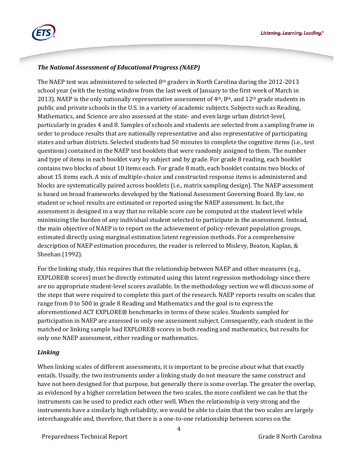

### *The National Assessment of Educational Progress (NAEP)*

The NAEP test was administered to selected 8th graders in North Carolina during the 2012-2013 school year (with the testing window from the last week of January to the first week of March in 2013). NAEP is the only nationally representative assessment of 4<sup>th</sup>, 8<sup>th</sup>, and 12<sup>th</sup> grade students in public and private schools in the U.S. in a variety of academic subjects. Subjects such as Reading, Mathematics, and Science are also assessed at the state- and even large urban district-level, particularly in grades 4 and 8. Samples of schools and students are selected from a sampling frame in order to produce results that are nationally representative and also representative of participating states and urban districts. Selected students had 50 minutes to complete the cognitive items (i.e., test questions) contained in the NAEP test booklets that were randomly assigned to them. The number and type of items in each booklet vary by subject and by grade. For grade 8 reading, each booklet contains two blocks of about 10 items each. For grade 8 math, each booklet contains two blocks of about 15 items each. A mix of multiple-choice and constructed response items is administered and blocks are systematically paired across booklets (i.e., matrix sampling design). The NAEP assessment is based on broad frameworks developed by the National Assessment Governing Board. By law, no student or school results are estimated or reported using the NAEP assessment. In fact, the assessment is designed in a way that no reliable score *can* be computed at the student level while minimizing the burden of any individual student selected to participate in the assessment. Instead, the main objective of NAEP is to report on the achievement of policy-relevant population groups, estimated directly using marginal estimation latent regression methods. For a comprehensive description of NAEP estimation procedures, the reader is referred to Mislevy, Beaton, Kaplan, & Sheehan (1992).

For the linking study, this requires that the relationship between NAEP and other measures (e.g., EXPLORE® scores) must be directly estimated using this latent regression methodology since there are no appropriate student-level scores available. In the methodology section we will discuss some of the steps that were required to complete this part of the research. NAEP reports results on scales that range from 0 to 500 in grade 8 Reading and Mathematics and the goal is to express the aforementioned ACT EXPLORE® benchmarks in terms of these scales. Students sampled for participation in NAEP are assessed in only one assessment subject. Consequently, each student in the matched or linking sample had EXPLORE® scores in both reading and mathematics, but results for only one NAEP assessment, either reading or mathematics.

### *Linking*

When linking scales of different assessments, it is important to be precise about what that exactly entails. Usually, the two instruments under a linking study do not measure the same construct and have not been designed for that purpose, but generally there is some overlap. The greater the overlap, as evidenced by a higher correlation between the two scales, the more confident we can be that the instruments can be used to predict each other well. When the relationship is very strong and the instruments have a similarly high reliability, we would be able to claim that the two scales are largely interchangeable and, therefore, that there is a one-to-one relationship between scores on the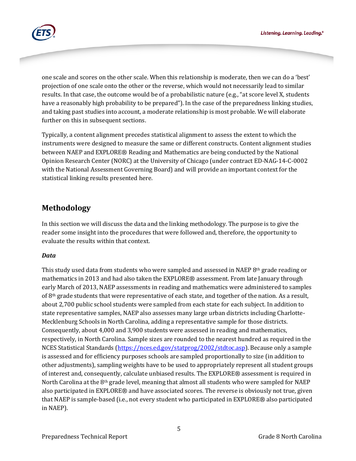

one scale and scores on the other scale. When this relationship is moderate, then we can do a 'best' projection of one scale onto the other or the reverse, which would not necessarily lead to similar results. In that case, the outcome would be of a probabilistic nature (e.g., "at score level X, students have a reasonably high probability to be prepared"). In the case of the preparedness linking studies, and taking past studies into account, a moderate relationship is most probable. We will elaborate further on this in subsequent sections.

Typically, a content alignment precedes statistical alignment to assess the extent to which the instruments were designed to measure the same or different constructs. Content alignment studies between NAEP and EXPLORE® Reading and Mathematics are being conducted by the National Opinion Research Center (NORC) at the University of Chicago (under contract ED-NAG-14-C-0002 with the National Assessment Governing Board) and will provide an important context for the statistical linking results presented here.

# **Methodology**

In this section we will discuss the data and the linking methodology. The purpose is to give the reader some insight into the procedures that were followed and, therefore, the opportunity to evaluate the results within that context.

#### *Data*

This study used data from students who were sampled and assessed in NAEP 8<sup>th</sup> grade reading or mathematics in 2013 and had also taken the EXPLORE® assessment. From late January through early March of 2013, NAEP assessments in reading and mathematics were administered to samples of 8<sup>th</sup> grade students that were representative of each state, and together of the nation. As a result, about 2,700 public school students were sampled from each state for each subject. In addition to state representative samples, NAEP also assesses many large urban districts including Charlotte-Mecklenburg Schools in North Carolina, adding a representative sample for those districts. Consequently, about 4,000 and 3,900 students were assessed in reading and mathematics, respectively, in North Carolina. Sample sizes are rounded to the nearest hundred as required in the NCES Statistical Standards [\(https://nces.ed.gov/statprog/2002/stdtoc.asp\)](https://nces.ed.gov/statprog/2002/stdtoc.asp). Because only a sample is assessed and for efficiency purposes schools are sampled proportionally to size (in addition to other adjustments), sampling weights have to be used to appropriately represent all student groups of interest and, consequently, calculate unbiased results. The EXPLORE® assessment is required in North Carolina at the  $8<sup>th</sup>$  grade level, meaning that almost all students who were sampled for NAEP also participated in EXPLORE® and have associated scores. The reverse is obviously not true, given that NAEP is sample-based (i.e., not every student who participated in EXPLORE® also participated in NAEP).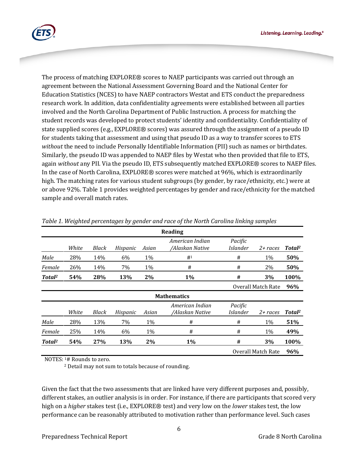Listening. Learning. Leading.<sup>®</sup>



The process of matching EXPLORE® scores to NAEP participants was carried out through an agreement between the National Assessment Governing Board and the National Center for Education Statistics (NCES) to have NAEP contractors Westat and ETS conduct the preparedness research work. In addition, data confidentiality agreements were established between all parties involved and the North Carolina Department of Public Instruction. A process for matching the student records was developed to protect students' identity and confidentiality. Confidentiality of state supplied scores (e.g., EXPLORE® scores) was assured through the assignment of a pseudo ID for students taking that assessment and using that pseudo ID as a way to transfer scores to ETS *without* the need to include Personally Identifiable Information (PII) such as names or birthdates. Similarly, the pseudo ID was appended to NAEP files by Westat who then provided that file to ETS, again *without* any PII. Via the pseudo ID, ETS subsequently matched EXPLORE® scores to NAEP files. In the case of North Carolina, EXPLORE® scores were matched at 96%, which is extraordinarily high. The matching rates for various student subgroups (by gender, by race/ethnicity, etc.) were at or above 92%. Table 1 provides weighted percentages by gender and race/ethnicity for the matched sample and overall match rates.

|                    |       |              |          |       | Reading                            |                            |          |                    |
|--------------------|-------|--------------|----------|-------|------------------------------------|----------------------------|----------|--------------------|
|                    | White | Black        | Hispanic | Asian | American Indian<br>/Alaskan Native | Pacific<br><i>Islander</i> | 2+ races | Total <sup>2</sup> |
| Male               | 28%   | 14%          | 6%       | 1%    | # <sup>1</sup>                     | #                          | 1%       | 50%                |
| Female             | 26%   | 14%          | 7%       | 1%    | #                                  | #                          | 2%       | 50%                |
| Total <sup>2</sup> | 54%   | 28%          | 13%      | $2\%$ | $1\%$                              | #                          | 3%       | 100%               |
|                    |       |              |          |       |                                    | Overall Match Rate         |          |                    |
| <b>Mathematics</b> |       |              |          |       |                                    |                            |          |                    |
|                    | White | <b>Black</b> | Hispanic | Asian | American Indian<br>/Alaskan Native | Pacific<br><i>Islander</i> | 2+ races | Total <sup>2</sup> |
| Male               | 28%   | 13%          | 7%       | 1%    | #                                  | #                          | 1%       | 51%                |
| Female             | 25%   | 14%          | 6%       | 1%    | #                                  | #                          | 1%       | 49%                |
| Total <sup>2</sup> | 54%   | 27%          | 13%      | 2%    | $1\%$                              | #                          | 3%       | 100%               |
|                    |       |              |          |       |                                    | <b>Overall Match Rate</b>  | 96%      |                    |

*Table 1. Weighted percentages by gender and race of the North Carolina linking samples*

NOTES: 1# Rounds to zero.

<sup>2</sup> Detail may not sum to totals because of rounding.

Given the fact that the two assessments that are linked have very different purposes and, possibly, different stakes, an outlier analysis is in order. For instance, if there are participants that scored very high on a *higher* stakes test (i.e., EXPLORE® test) and very low on the *lower* stakes test, the low performance can be reasonably attributed to motivation rather than performance level. Such cases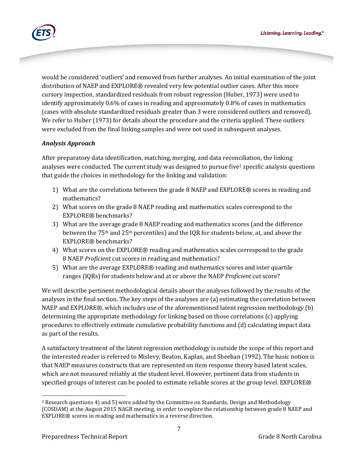

would be considered 'outliers' and removed from further analyses. An initial examination of the joint distribution of NAEP and EXPLORE® revealed very few potential outlier cases. After this more cursory inspection, standardized residuals from robust regression (Huber, 1973) were used to identify approximately 0.6% of cases in reading and approximately 0.8% of cases in mathematics (cases with absolute standardized residuals greater than 3 were considered outliers and removed). We refer to Huber (1973) for details about the procedure and the criteria applied. These outliers were excluded from the final linking samples and were not used in subsequent analyses.

### *Analysis Approach*

After preparatory data identification, matching, merging, and data reconciliation, the linking analyses were conducted. The current study was designed to pursue five<sup>[2](#page-6-0)</sup> specific analysis questions that guide the choices in methodology for the linking and validation:

- 1) What are the correlations between the grade 8 NAEP and EXPLORE® scores in reading and mathematics?
- 2) What scores on the grade 8 NAEP reading and mathematics scales correspond to the EXPLORE® benchmarks?
- 3) What are the average grade 8 NAEP reading and mathematics scores (and the difference between the 75th and 25th percentiles) and the IQR for students below, at, and above the EXPLORE® benchmarks?
- 4) What scores on the EXPLORE® reading and mathematics scales correspond to the grade 8 NAEP *Proficient* cut scores in reading and mathematics?
- 5) What are the average EXPLORE® reading and mathematics scores and inter quartile ranges (IQRs) for students below and at or above the NAEP *Proficient* cut score?

We will describe pertinent methodological details about the analyses followed by the results of the analyses in the final section. The key steps of the analyses are (a) estimating the correlation between NAEP and EXPLORE®, which includes use of the aforementioned latent regression methodology (b) determining the appropriate methodology for linking based on those correlations (c) applying procedures to effectively estimate cumulative probability functions and (d) calculating impact data as part of the results.

A satisfactory treatment of the latent regression methodology is outside the scope of this report and the interested reader is referred to Mislevy, Beaton, Kaplan, and Sheehan (1992). The basic notion is that NAEP measures constructs that are represented on item response theory based latent scales, which are not measured reliably at the student level. However, pertinent data from students in specified groups of interest can be pooled to estimate reliable scores at the group level. EXPLORE®

<span id="page-6-0"></span>j <sup>2</sup> Research questions 4) and 5) were added by the Committee on Standards, Design and Methodology (COSDAM) at the August 2015 NAGB meeting, in order to explore the relationship between grade 8 NAEP and EXPLORE® scores in reading and mathematics in a reverse direction.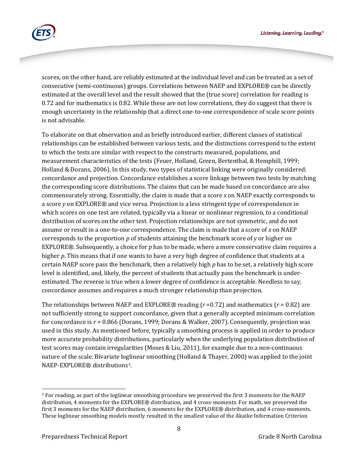

scores, on the other hand, are reliably estimated at the individual level and can be treated as a set of consecutive (semi-continuous) groups. Correlations between NAEP and EXPLORE® can be directly estimated at the overall level and the result showed that the (true score) correlation for reading is 0.72 and for mathematics is 0.82. While these are not low correlations, they do suggest that there is enough uncertainty in the relationship that a direct one-to-one correspondence of scale score points is not advisable.

To elaborate on that observation and as briefly introduced earlier, different classes of statistical relationships can be established between various tests, and the distinctions correspond to the extent to which the tests are similar with respect to the constructs measured, populations, and measurement characteristics of the tests (Feuer, Holland, Green, Bertenthal, & Hemphill, 1999; Holland & Dorans, 2006). In this study, two types of statistical linking were originally considered: concordance and projection. Concordance establishes a score linkage between two tests by matching the corresponding score distributions. The claims that can be made based on concordance are also commensurately strong. Essentially, the claim is made that a score *x* on NAEP exactly corresponds to a score *y* on EXPLORE® and vice versa. Projection is a less stringent type of correspondence in which scores on one test are related, typically via a linear or nonlinear regression, to a conditional distribution of scores on the other test. Projection relationships are not symmetric, and do not assume or result in a one-to-one correspondence. The claim is made that a score of *x* on NAEP corresponds to the proportion *p* of students attaining the benchmark score of *y* or higher on EXPLORE®. Subsequently, a choice for *p* has to be made, where a more conservative claim requires a higher p. This means that if one wants to have a very high degree of confidence that students at a certain NAEP score pass the benchmark, then a relatively high *p* has to be set, a relatively high score level is identified, and, likely, the percent of students that actually pass the benchmark is underestimated. The reverse is true when a lower degree of confidence is acceptable. Needless to say, concordance assumes and requires a much stronger relationship than projection.

The relationships between NAEP and EXPLORE® reading (*r* =0.72) and mathematics (*r* = 0.82) are not sufficiently strong to support concordance, given that a generally accepted minimum correlation for concordance is *r* = 0.866 (Dorans, 1999; Dorans & Walker, 2007). Consequently, projection was used in this study. As mentioned before, typically a smoothing process is applied in order to produce more accurate probability distributions, particularly when the underlying population distribution of test scores may contain irregularities (Moses & Liu, 2011), for example due to a non-continuous nature of the scale. Bivariate loglinear smoothing (Holland & Thayer, 2000) was applied to the joint NAEP-EXPLORE® distributions[3.](#page-7-0)

<span id="page-7-0"></span>j <sup>3</sup> For reading, as part of the loglinear smoothing procedure we preserved the first 3 moments for the NAEP distribution, 4 moments for the EXPLORE® distribution, and 4 cross-moments. For math, we preserved the first 3 moments for the NAEP distribution, 6 moments for the EXPLORE® distribution, and 4 cross-moments. These loglinear smoothing models mostly resulted in the smallest value of the Akaike Information Criterion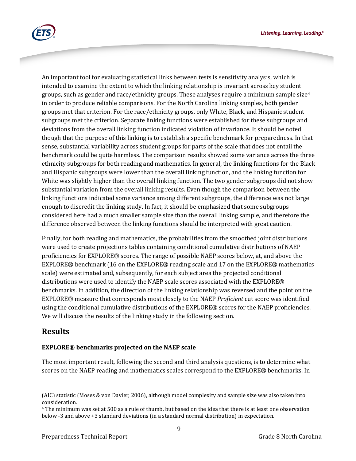Listening. Learning. Leading.<sup>®</sup>



An important tool for evaluating statistical links between tests is sensitivity analysis, which is intended to examine the extent to which the linking relationship is invariant across key student groups, such as gender and race/ethnicity groups. These analyses require a minimum sample size<sup>[4](#page-8-0)</sup> in order to produce reliable comparisons. For the North Carolina linking samples, both gender groups met that criterion. For the race/ethnicity groups, only White, Black, and Hispanic student subgroups met the criterion. Separate linking functions were established for these subgroups and deviations from the overall linking function indicated violation of invariance. It should be noted though that the purpose of this linking is to establish a specific benchmark for preparedness. In that sense, substantial variability across student groups for parts of the scale that does not entail the benchmark could be quite harmless. The comparison results showed some variance across the three ethnicity subgroups for both reading and mathematics. In general, the linking functions for the Black and Hispanic subgroups were lower than the overall linking function, and the linking function for White was slightly higher than the overall linking function. The two gender subgroups did not show substantial variation from the overall linking results. Even though the comparison between the linking functions indicated some variance among different subgroups, the difference was not large enough to discredit the linking study. In fact, it should be emphasized that some subgroups considered here had a much smaller sample size than the overall linking sample, and therefore the difference observed between the linking functions should be interpreted with great caution.

Finally, for both reading and mathematics, the probabilities from the smoothed joint distributions were used to create projections tables containing conditional cumulative distributions of NAEP proficiencies for EXPLORE® scores. The range of possible NAEP scores below, at, and above the EXPLORE® benchmark (16 on the EXPLORE® reading scale and 17 on the EXPLORE® mathematics scale) were estimated and, subsequently, for each subject area the projected conditional distributions were used to identify the NAEP scale scores associated with the EXPLORE® benchmarks. In addition, the direction of the linking relationship was reversed and the point on the EXPLORE® measure that corresponds most closely to the NAEP *Proficient* cut score was identified using the conditional cumulative distributions of the EXPLORE® scores for the NAEP proficiencies. We will discuss the results of the linking study in the following section.

## **Results**

### **EXPLORE® benchmarks projected on the NAEP scale**

The most important result, following the second and third analysis questions, is to determine what scores on the NAEP reading and mathematics scales correspond to the EXPLORE<sup>®</sup> benchmarks. In

j (AIC) statistic (Moses & von Davier, 2006), although model complexity and sample size was also taken into consideration.<br><sup>4</sup> The minimum was set at 500 as a rule of thumb, but based on the idea that there is at least one observation

<span id="page-8-0"></span>below -3 and above +3 standard deviations (in a standard normal distribution) in expectation.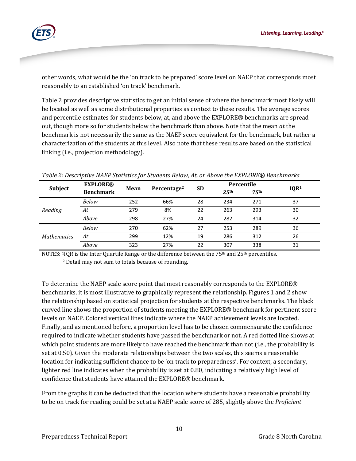

other words, what would be the 'on track to be prepared' score level on NAEP that corresponds most reasonably to an established 'on track' benchmark.

Table 2 provides descriptive statistics to get an initial sense of where the benchmark most likely will be located as well as some distributional properties as context to these results. The average scores and percentile estimates for students below, at, and above the EXPLORE® benchmarks are spread out, though more so for students below the benchmark than above. Note that the mean *at* the benchmark is not necessarily the same as the NAEP score equivalent for the benchmark, but rather a characterization of the students at this level. Also note that these results are based on the statistical linking (i.e., projection methodology).

| Subject            | <b>EXPLORE®</b>  | Mean | Percentage <sup>2</sup> | <b>SD</b> | Percentile        |                   | IQR <sup>1</sup> |
|--------------------|------------------|------|-------------------------|-----------|-------------------|-------------------|------------------|
|                    | <b>Benchmark</b> |      |                         |           | 2.5 <sup>th</sup> | 7.5 <sup>th</sup> |                  |
| Reading            | Below            | 252  | 66%                     | 28        | 234               | 271               | 37               |
|                    | At               | 279  | 8%                      | 22        | 263               | 293               | 30               |
|                    | Above            | 298  | 27%                     | 24        | 282               | 314               | 32               |
| <b>Mathematics</b> | Below            | 270  | 62%                     | 27        | 253               | 289               | 36               |
|                    | At               | 299  | 12%                     | 19        | 286               | 312               | 26               |
|                    | Above            | 323  | 27%                     | 22        | 307               | 338               | 31               |

*Table 2: Descriptive NAEP Statistics for Students Below, At, or Above the EXPLORE® Benchmarks*

NOTES:  $11OR$  is the Inter Quartile Range or the difference between the 75<sup>th</sup> and 25<sup>th</sup> percentiles.

<sup>2</sup> Detail may not sum to totals because of rounding.

To determine the NAEP scale score point that most reasonably corresponds to the EXPLORE® benchmarks, it is most illustrative to graphically represent the relationship. Figures 1 and 2 show the relationship based on statistical projection for students at the respective benchmarks. The black curved line shows the proportion of students meeting the EXPLORE® benchmark for pertinent score levels on NAEP. Colored vertical lines indicate where the NAEP achievement levels are located. Finally, and as mentioned before, a proportion level has to be chosen commensurate the confidence required to indicate whether students have passed the benchmark or not. A red dotted line shows at which point students are more likely to have reached the benchmark than not (i.e., the probability is set at 0.50). Given the moderate relationships between the two scales, this seems a reasonable location for indicating sufficient chance to be 'on track to preparedness'. For context, a secondary, lighter red line indicates when the probability is set at 0.80, indicating a relatively high level of confidence that students have attained the EXPLORE® benchmark.

From the graphs it can be deducted that the location where students have a reasonable probability to be on track for reading could be set at a NAEP scale score of 285, slightly above the *Proficient*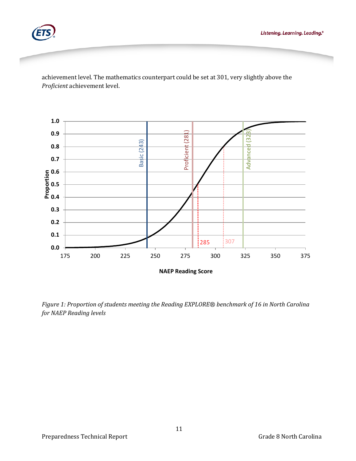

achievement level. The mathematics counterpart could be set at 301, very slightly above the *Proficient* achievement level.



*Figure 1: Proportion of students meeting the Reading EXPLORE® benchmark of 16 in North Carolina for NAEP Reading levels*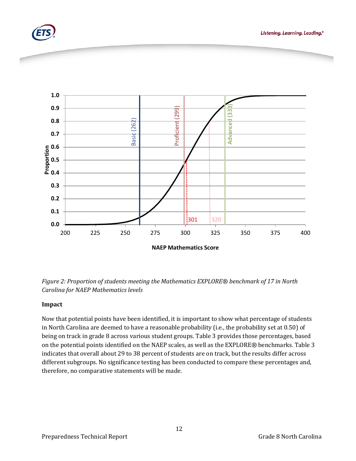



*Figure 2: Proportion of students meeting the Mathematics EXPLORE® benchmark of 17 in North Carolina for NAEP Mathematics levels*

#### **Impact**

Now that potential points have been identified, it is important to show what percentage of students in North Carolina are deemed to have a reasonable probability (i.e., the probability set at 0.50) of being on track in grade 8 across various student groups. Table 3 provides those percentages, based on the potential points identified on the NAEP scales, as well as the EXPLORE*®* benchmarks. Table 3 indicates that overall about 29 to 38 percent of students are on track, but the results differ across different subgroups. No significance testing has been conducted to compare these percentages and, therefore, no comparative statements will be made.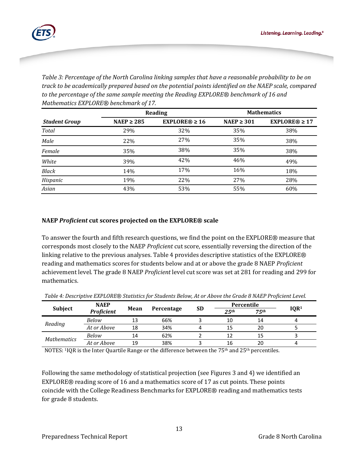

*Table 3: Percentage of the North Carolina linking samples that have a reasonable probability to be on track to be academically prepared based on the potential points identified on the NAEP scale, compared to the percentage of the same sample meeting the Reading EXPLORE® benchmark of 16 and Mathematics EXPLORE® benchmark of 17.* 

|                      |                 | Reading            | <b>Mathematics</b> |                    |  |
|----------------------|-----------------|--------------------|--------------------|--------------------|--|
| <b>Student Group</b> | NAEP $\geq$ 285 | $EXPLORE@ \geq 16$ | NAEP $\geq$ 301    | $EXPLORE@ \geq 17$ |  |
| Total                | 29%             | 32%                | 35%                | 38%                |  |
| Male                 | 22%             | 27%                | 35%                | 38%                |  |
| Female               | 35%             | 38%                | 35%                | 38%                |  |
| White                | 39%             | 42%                | 46%                | 49%                |  |
| <b>Black</b>         | 14%             | 17%                | 16%                | 18%                |  |
| Hispanic             | 19%             | 22%                | 27%                | 28%                |  |
| Asian                | 43%             | 53%                | 55%                | 60%                |  |

#### **NAEP** *Proficient* **cut scores projected on the EXPLORE® scale**

To answer the fourth and fifth research questions, we find the point on the EXPLORE® measure that corresponds most closely to the NAEP *Proficient* cut score, essentially reversing the direction of the linking relative to the previous analyses. Table 4 provides descriptive statistics of the EXPLORE® reading and mathematics scores for students below and at or above the grade 8 NAEP *Proficient* achievement level. The grade 8 NAEP *Proficient* level cut score was set at 281 for reading and 299 for mathematics.

|                    | <b>NAEP</b>       | Mean | Percentage | <b>SD</b> | Percentile        |                   |                  |
|--------------------|-------------------|------|------------|-----------|-------------------|-------------------|------------------|
| <b>Subject</b>     | <b>Proficient</b> |      |            |           | 2.5 <sup>th</sup> | 7.5 <sup>th</sup> | IQR <sup>1</sup> |
| Reading            | Below             | 13   | 66%        |           | 10                | 14                |                  |
|                    | At or Above       | 18   | 34%        |           | 15                | 20                |                  |
| <b>Mathematics</b> | Below             | 14   | 62%        |           |                   | 15                |                  |
|                    | At or Above       | 19   | 38%        |           | 16                | 20                |                  |

*Table 4: Descriptive EXPLORE*® *Statistics for Students Below, At or Above the Grade 8 NAEP Proficient Level.*

NOTES: 1IQR is the Inter Quartile Range or the difference between the  $75<sup>th</sup>$  and  $25<sup>th</sup>$  percentiles.

Following the same methodology of statistical projection (see Figures 3 and 4) we identified an EXPLORE® reading score of 16 and a mathematics score of 17 as cut points. These points coincide with the College Readiness Benchmarks for EXPLORE® reading and mathematics tests for grade 8 students.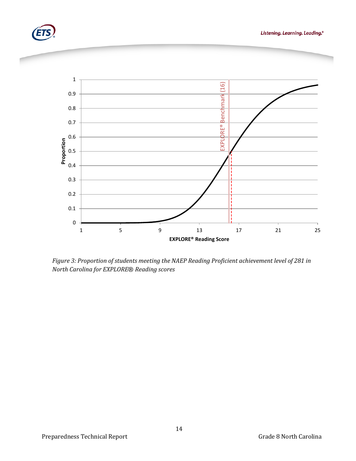





*Figure 3: Proportion of students meeting the NAEP Reading Proficient achievement level of 281 in North Carolina for EXPLORE*® *Reading scores*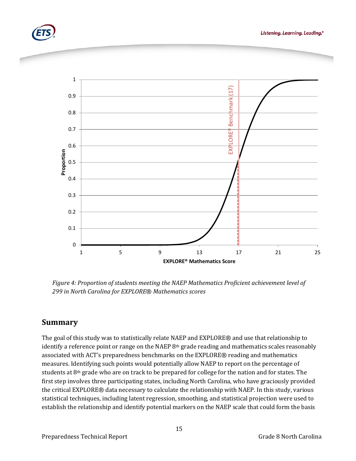





*Figure 4: Proportion of students meeting the NAEP Mathematics Proficient achievement level of 299 in North Carolina for EXPLORE*® *Mathematics scores*

## **Summary**

The goal of this study was to statistically relate NAEP and EXPLORE® and use that relationship to identify a reference point or range on the NAEP  $8<sup>th</sup>$  grade reading and mathematics scales reasonably associated with ACT's preparedness benchmarks on the EXPLORE® reading and mathematics measures. Identifying such points would potentially allow NAEP to report on the percentage of students at 8th grade who are on track to be prepared for college for the nation and for states. The first step involves three participating states, including North Carolina, who have graciously provided the critical EXPLORE® data necessary to calculate the relationship with NAEP. In this study, various statistical techniques, including latent regression, smoothing, and statistical projection were used to establish the relationship and identify potential markers on the NAEP scale that could form the basis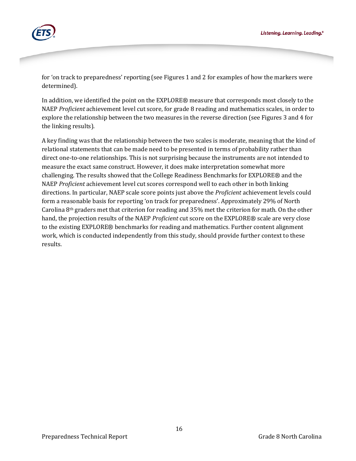

for 'on track to preparedness' reporting (see Figures 1 and 2 for examples of how the markers were determined).

In addition, we identified the point on the EXPLORE® measure that corresponds most closely to the NAEP *Proficient* achievement level cut score, for grade 8 reading and mathematics scales, in order to explore the relationship between the two measures in the reverse direction (see Figures 3 and 4 for the linking results).

A key finding was that the relationship between the two scales is moderate, meaning that the kind of relational statements that can be made need to be presented in terms of probability rather than direct one-to-one relationships. This is not surprising because the instruments are not intended to measure the exact same construct. However, it does make interpretation somewhat more challenging. The results showed that the College Readiness Benchmarks for EXPLORE® and the NAEP *Proficient* achievement level cut scores correspond well to each other in both linking directions. In particular, NAEP scale score points just above the *Proficient* achievement levels could form a reasonable basis for reporting 'on track for preparedness'. Approximately 29% of North Carolina  $8<sup>th</sup>$  graders met that criterion for reading and 35% met the criterion for math. On the other hand, the projection results of the NAEP *Proficient* cut score on the EXPLORE® scale are very close to the existing EXPLORE® benchmarks for reading and mathematics. Further content alignment work, which is conducted independently from this study, should provide further context to these results.